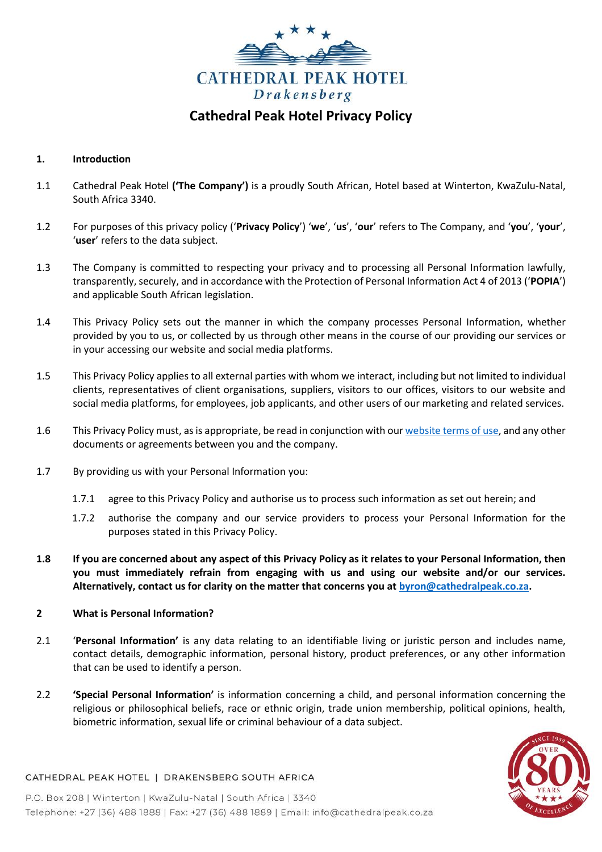

# **Cathedral Peak Hotel Privacy Policy**

### **1. Introduction**

- 1.1 Cathedral Peak Hotel **('The Company')** is a proudly South African, Hotel based at Winterton, KwaZulu-Natal, South Africa 3340.
- 1.2 For purposes of this privacy policy ('**Privacy Policy**') '**we**', '**us**', '**our**' refers to The Company, and '**you**', '**your**', '**user**' refers to the data subject.
- 1.3 The Company is committed to respecting your privacy and to processing all Personal Information lawfully, transparently, securely, and in accordance with the Protection of Personal Information Act 4 of 2013 ('**POPIA**') and applicable South African legislation.
- 1.4 This Privacy Policy sets out the manner in which the company processes Personal Information, whether provided by you to us, or collected by us through other means in the course of our providing our services or in your accessing our website and social media platforms.
- 1.5 This Privacy Policy applies to all external parties with whom we interact, including but not limited to individual clients, representatives of client organisations, suppliers, visitors to our offices, visitors to our website and social media platforms, for employees, job applicants, and other users of our marketing and related services.
- 1.6 This Privacy Policy must, as is appropriate, be read in conjunction with ou[r website terms of use,](http://www.cathedralpeak.co.za/websitetscs) and any other documents or agreements between you and the company.
- 1.7 By providing us with your Personal Information you:
	- 1.7.1 agree to this Privacy Policy and authorise us to process such information as set out herein; and
	- 1.7.2 authorise the company and our service providers to process your Personal Information for the purposes stated in this Privacy Policy.
- **1.8 If you are concerned about any aspect of this Privacy Policy as it relates to your Personal Information, then you must immediately refrain from engaging with us and using our website and/or our services. Alternatively, contact us for clarity on the matter that concerns you at [byron@cathedralpeak.co.za.](mailto:byron@cathedralpeak.co.za)**

### **2 What is Personal Information?**

- 2.1 '**Personal Information'** is any data relating to an identifiable living or juristic person and includes name, contact details, demographic information, personal history, product preferences, or any other information that can be used to identify a person.
- 2.2 **'Special Personal Information'** is information concerning a child, and personal information concerning the religious or philosophical beliefs, race or ethnic origin, trade union membership, political opinions, health, biometric information, sexual life or criminal behaviour of a data subject.



### CATHEDRAL PEAK HOTEL | DRAKENSBERG SOUTH AFRICA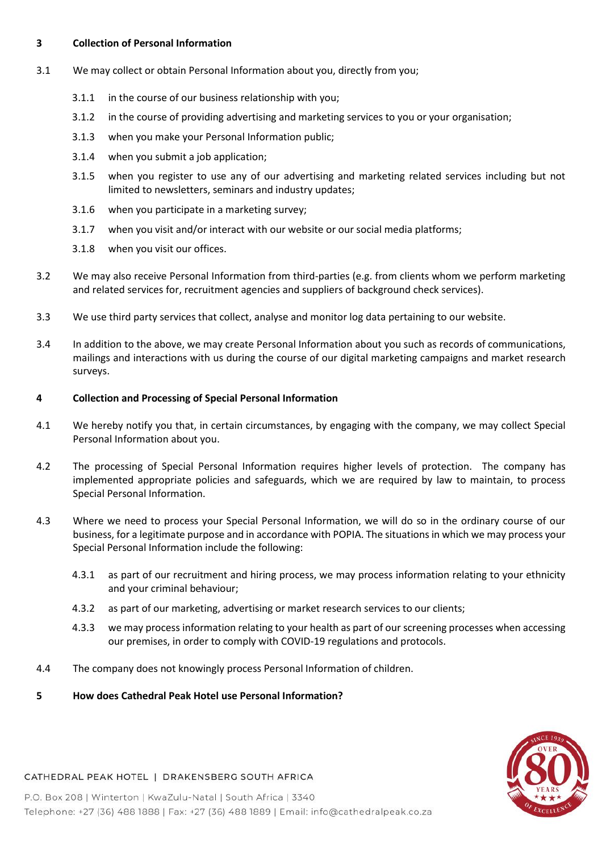### **3 Collection of Personal Information**

- 3.1 We may collect or obtain Personal Information about you, directly from you;
	- 3.1.1 in the course of our business relationship with you;
	- 3.1.2 in the course of providing advertising and marketing services to you or your organisation;
	- 3.1.3 when you make your Personal Information public;
	- 3.1.4 when you submit a job application;
	- 3.1.5 when you register to use any of our advertising and marketing related services including but not limited to newsletters, seminars and industry updates;
	- 3.1.6 when you participate in a marketing survey;
	- 3.1.7 when you visit and/or interact with our website or our social media platforms;
	- 3.1.8 when you visit our offices.
- 3.2 We may also receive Personal Information from third-parties (e.g. from clients whom we perform marketing and related services for, recruitment agencies and suppliers of background check services).
- 3.3 We use third party services that collect, analyse and monitor log data pertaining to our website.
- 3.4 In addition to the above, we may create Personal Information about you such as records of communications, mailings and interactions with us during the course of our digital marketing campaigns and market research surveys.

### **4 Collection and Processing of Special Personal Information**

- 4.1 We hereby notify you that, in certain circumstances, by engaging with the company, we may collect Special Personal Information about you.
- 4.2 The processing of Special Personal Information requires higher levels of protection. The company has implemented appropriate policies and safeguards, which we are required by law to maintain, to process Special Personal Information.
- 4.3 Where we need to process your Special Personal Information, we will do so in the ordinary course of our business, for a legitimate purpose and in accordance with POPIA. The situations in which we may process your Special Personal Information include the following:
	- 4.3.1 as part of our recruitment and hiring process, we may process information relating to your ethnicity and your criminal behaviour;
	- 4.3.2 as part of our marketing, advertising or market research services to our clients;
	- 4.3.3 we may process information relating to your health as part of our screening processes when accessing our premises, in order to comply with COVID-19 regulations and protocols.
- 4.4 The company does not knowingly process Personal Information of children.
- **5 How does Cathedral Peak Hotel use Personal Information?**



### CATHEDRAL PEAK HOTEL | DRAKENSBERG SOUTH AFRICA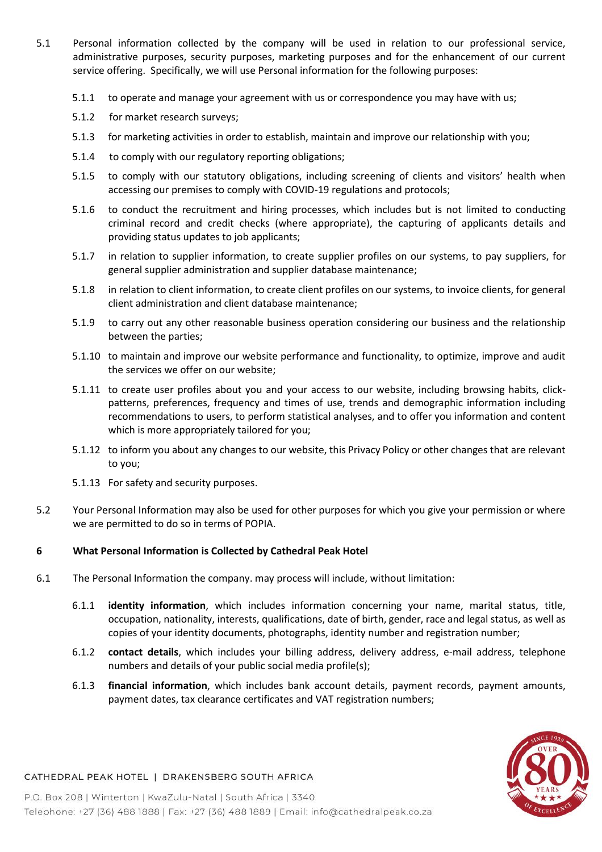- 5.1 Personal information collected by the company will be used in relation to our professional service, administrative purposes, security purposes, marketing purposes and for the enhancement of our current service offering. Specifically, we will use Personal information for the following purposes:
	- 5.1.1 to operate and manage your agreement with us or correspondence you may have with us;
	- 5.1.2 for market research surveys;
	- 5.1.3 for marketing activities in order to establish, maintain and improve our relationship with you;
	- 5.1.4 to comply with our regulatory reporting obligations;
	- 5.1.5 to comply with our statutory obligations, including screening of clients and visitors' health when accessing our premises to comply with COVID-19 regulations and protocols;
	- 5.1.6 to conduct the recruitment and hiring processes, which includes but is not limited to conducting criminal record and credit checks (where appropriate), the capturing of applicants details and providing status updates to job applicants;
	- 5.1.7 in relation to supplier information, to create supplier profiles on our systems, to pay suppliers, for general supplier administration and supplier database maintenance;
	- 5.1.8 in relation to client information, to create client profiles on our systems, to invoice clients, for general client administration and client database maintenance;
	- 5.1.9 to carry out any other reasonable business operation considering our business and the relationship between the parties;
	- 5.1.10 to maintain and improve our website performance and functionality, to optimize, improve and audit the services we offer on our website;
	- 5.1.11 to create user profiles about you and your access to our website, including browsing habits, clickpatterns, preferences, frequency and times of use, trends and demographic information including recommendations to users, to perform statistical analyses, and to offer you information and content which is more appropriately tailored for you;
	- 5.1.12 to inform you about any changes to our website, this Privacy Policy or other changes that are relevant to you;
	- 5.1.13 For safety and security purposes.
- 5.2 Your Personal Information may also be used for other purposes for which you give your permission or where we are permitted to do so in terms of POPIA.

### **6 What Personal Information is Collected by Cathedral Peak Hotel**

- 6.1 The Personal Information the company. may process will include, without limitation:
	- 6.1.1 **identity information**, which includes information concerning your name, marital status, title, occupation, nationality, interests, qualifications, date of birth, gender, race and legal status, as well as copies of your identity documents, photographs, identity number and registration number;
	- 6.1.2 **contact details**, which includes your billing address, delivery address, e-mail address, telephone numbers and details of your public social media profile(s);
	- 6.1.3 **financial information**, which includes bank account details, payment records, payment amounts, payment dates, tax clearance certificates and VAT registration numbers;



### CATHEDRAL PEAK HOTEL | DRAKENSBERG SOUTH AFRICA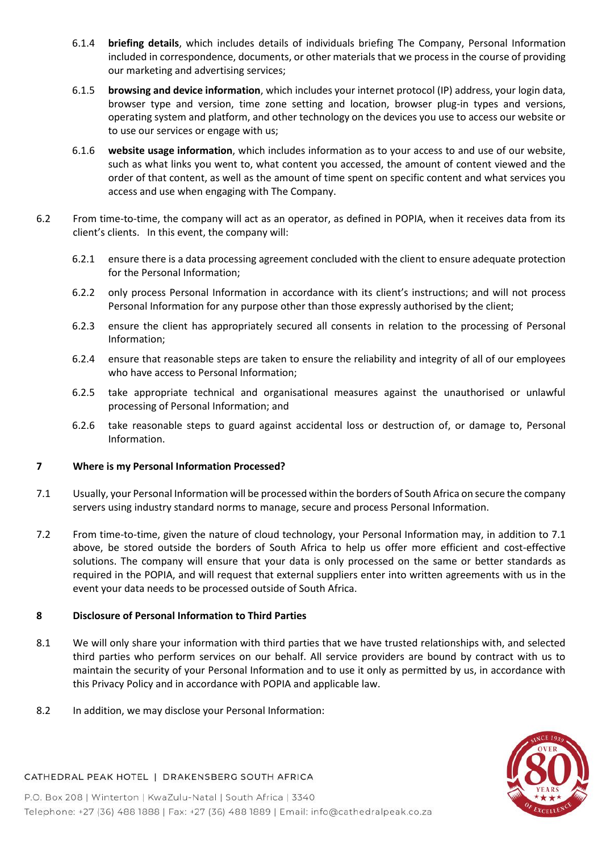- 6.1.4 **briefing details**, which includes details of individuals briefing The Company, Personal Information included in correspondence, documents, or other materials that we process in the course of providing our marketing and advertising services;
- 6.1.5 **browsing and device information**, which includes your internet protocol (IP) address, your login data, browser type and version, time zone setting and location, browser plug-in types and versions, operating system and platform, and other technology on the devices you use to access our website or to use our services or engage with us;
- 6.1.6 **website usage information**, which includes information as to your access to and use of our website, such as what links you went to, what content you accessed, the amount of content viewed and the order of that content, as well as the amount of time spent on specific content and what services you access and use when engaging with The Company.
- 6.2 From time-to-time, the company will act as an operator, as defined in POPIA, when it receives data from its client's clients. In this event, the company will:
	- 6.2.1 ensure there is a data processing agreement concluded with the client to ensure adequate protection for the Personal Information;
	- 6.2.2 only process Personal Information in accordance with its client's instructions; and will not process Personal Information for any purpose other than those expressly authorised by the client;
	- 6.2.3 ensure the client has appropriately secured all consents in relation to the processing of Personal Information;
	- 6.2.4 ensure that reasonable steps are taken to ensure the reliability and integrity of all of our employees who have access to Personal Information;
	- 6.2.5 take appropriate technical and organisational measures against the unauthorised or unlawful processing of Personal Information; and
	- 6.2.6 take reasonable steps to guard against accidental loss or destruction of, or damage to, Personal Information.

### **7 Where is my Personal Information Processed?**

- 7.1 Usually, your Personal Information will be processed within the borders of South Africa on secure the company servers using industry standard norms to manage, secure and process Personal Information.
- 7.2 From time-to-time, given the nature of cloud technology, your Personal Information may, in addition to 7.1 above, be stored outside the borders of South Africa to help us offer more efficient and cost-effective solutions. The company will ensure that your data is only processed on the same or better standards as required in the POPIA, and will request that external suppliers enter into written agreements with us in the event your data needs to be processed outside of South Africa.

## **8 Disclosure of Personal Information to Third Parties**

- 8.1 We will only share your information with third parties that we have trusted relationships with, and selected third parties who perform services on our behalf. All service providers are bound by contract with us to maintain the security of your Personal Information and to use it only as permitted by us, in accordance with this Privacy Policy and in accordance with POPIA and applicable law.
- 8.2 In addition, we may disclose your Personal Information:



### CATHEDRAL PEAK HOTEL | DRAKENSBERG SOUTH AFRICA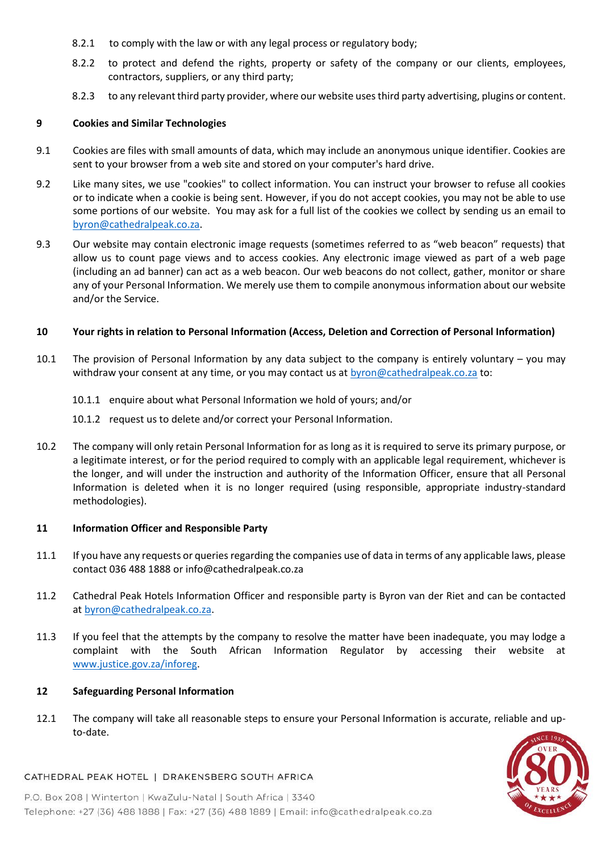- 8.2.1 to comply with the law or with any legal process or regulatory body;
- 8.2.2 to protect and defend the rights, property or safety of the company or our clients, employees, contractors, suppliers, or any third party;
- 8.2.3 to any relevant third party provider, where our website uses third party advertising, plugins or content.

### **9 Cookies and Similar Technologies**

- 9.1 Cookies are files with small amounts of data, which may include an anonymous unique identifier. Cookies are sent to your browser from a web site and stored on your computer's hard drive.
- 9.2 Like many sites, we use "cookies" to collect information. You can instruct your browser to refuse all cookies or to indicate when a cookie is being sent. However, if you do not accept cookies, you may not be able to use some portions of our website. You may ask for a full list of the cookies we collect by sending us an email to [byron@cathedralpeak.co.za.](mailto:byron@cathedralpeak.co.za)
- 9.3 Our website may contain electronic image requests (sometimes referred to as "web beacon" requests) that allow us to count page views and to access cookies. Any electronic image viewed as part of a web page (including an ad banner) can act as a web beacon. Our web beacons do not collect, gather, monitor or share any of your Personal Information. We merely use them to compile anonymous information about our website and/or the Service.

### **10 Your rights in relation to Personal Information (Access, Deletion and Correction of Personal Information)**

- 10.1 The provision of Personal Information by any data subject to the company is entirely voluntary you may withdraw your consent at any time, or you may contact us at [byron@cathedralpeak.co.za](mailto:byron@cathedralpeak.co.za) to:
	- 10.1.1 enquire about what Personal Information we hold of yours; and/or
	- 10.1.2 request us to delete and/or correct your Personal Information.
- 10.2 The company will only retain Personal Information for as long as it is required to serve its primary purpose, or a legitimate interest, or for the period required to comply with an applicable legal requirement, whichever is the longer, and will under the instruction and authority of the Information Officer, ensure that all Personal Information is deleted when it is no longer required (using responsible, appropriate industry-standard methodologies).

### **11 Information Officer and Responsible Party**

- 11.1 If you have any requests or queries regarding the companies use of data in terms of any applicable laws, please contact 036 488 1888 or info@cathedralpeak.co.za
- 11.2 Cathedral Peak Hotels Information Officer and responsible party is Byron van der Riet and can be contacted at [byron@cathedralpeak.co.za.](mailto:byron@cathedralpeak.co.za)
- 11.3 If you feel that the attempts by the company to resolve the matter have been inadequate, you may lodge a complaint with the South African Information Regulator by accessing their website at [www.justice.gov.za/inforeg.](http://www.justice.gov.za/inforeg)

### **12 Safeguarding Personal Information**

12.1 The company will take all reasonable steps to ensure your Personal Information is accurate, reliable and upto-date.



### CATHEDRAL PEAK HOTEL | DRAKENSBERG SOUTH AFRICA